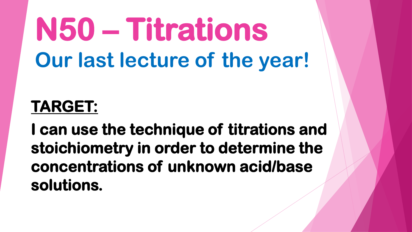# **N50 – Titrations Our last lecture of the year!**

#### **TARGET:**

**I can use the technique of titrations and stoichiometry in order to determine the concentrations of unknown acid/base solutions.**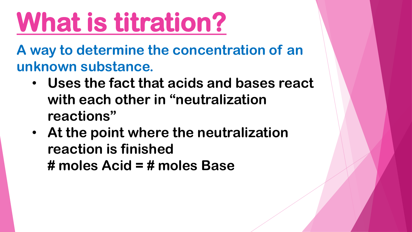# **What is titration?**

**A way to determine the concentration of an unknown substance.** 

- **Uses the fact that acids and bases react with each other in "neutralization reactions"**
- **At the point where the neutralization reaction is finished # moles Acid = # moles Base**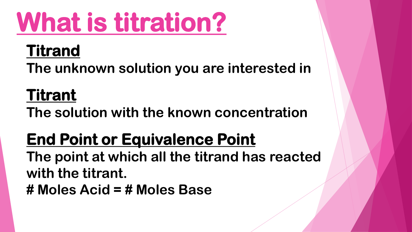# **What is titration?**

#### **Titrand**

**The unknown solution you are interested in**

#### **Titrant**

**The solution with the known concentration**

#### **End Point or Equivalence Point**

**The point at which all the titrand has reacted with the titrant.** 

**# Moles Acid = # Moles Base**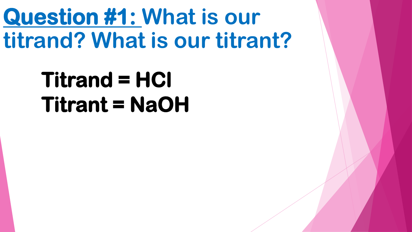### **Question #1: What is our titrand? What is our titrant?**

### **Titrand = HCl Titrant = NaOH**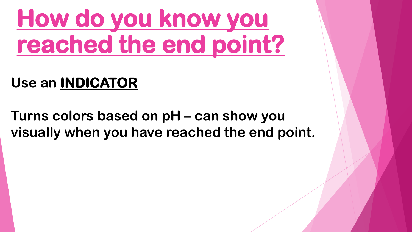## **How do you know you reached the end point?**

#### **Use an INDICATOR**

**Turns colors based on pH – can show you visually when you have reached the end point.**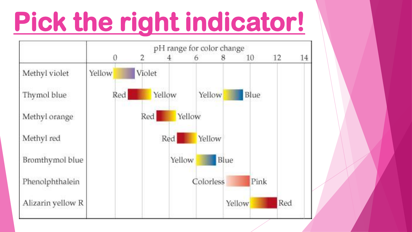# **Pick the right indicator!**

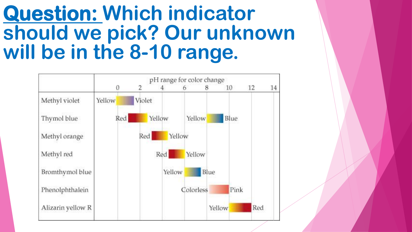#### **Question: Which indicator should we pick? Our unknown will be in the 8-10 range.**

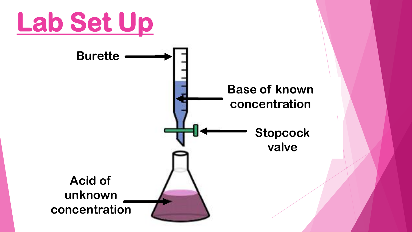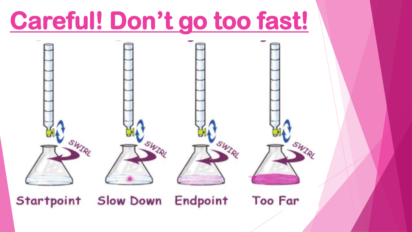## **Careful! Don't go too fast!**

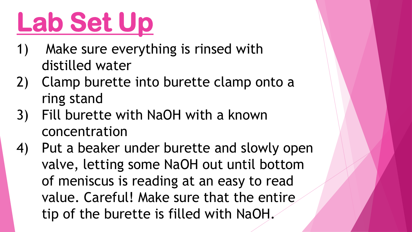# **Lab Set Up**

- 1) Make sure everything is rinsed with distilled water
- 2) Clamp burette into burette clamp onto a ring stand
- 3) Fill burette with NaOH with a known concentration
- 4) Put a beaker under burette and slowly open valve, letting some NaOH out until bottom of meniscus is reading at an easy to read value. Careful! Make sure that the entire tip of the burette is filled with NaOH.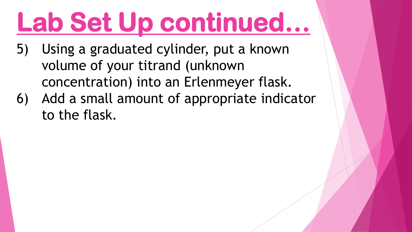# **Lab Set Up continued…**

- 5) Using a graduated cylinder, put a known volume of your titrand (unknown concentration) into an Erlenmeyer flask.
- 6) Add a small amount of appropriate indicator to the flask.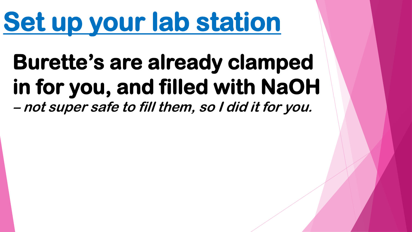# **Set up your lab station**

#### **Burette's are already clamped in for you, and filled with NaOH –not super safe to fill them, so I did it for you.**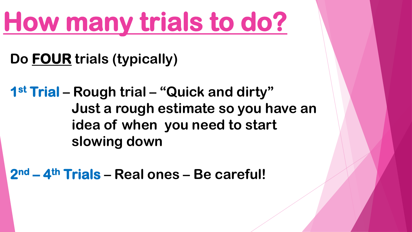## **How many trials to do?**

**Do FOUR trials (typically)**

**1 st Trial – Rough trial – "Quick and dirty" Just a rough estimate so you have an idea of when you need to start slowing down**

**2 nd – 4 th Trials – Real ones – Be careful!**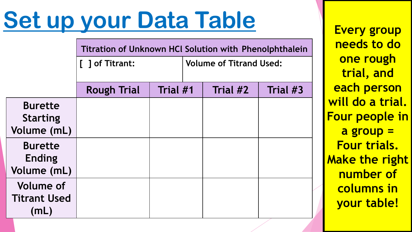## **Set up your Data Table**

|                                                  | <b>Titration of Unknown HCI Solution with Phenolphthalein</b> |          |                                |          |  |  |
|--------------------------------------------------|---------------------------------------------------------------|----------|--------------------------------|----------|--|--|
|                                                  | [ ] of Titrant:                                               |          | <b>Volume of Titrand Used:</b> |          |  |  |
|                                                  | <b>Rough Trial</b>                                            | Trial #1 | Trial #2                       | Trial #3 |  |  |
| <b>Burette</b><br><b>Starting</b><br>Volume (mL) |                                                               |          |                                |          |  |  |
| <b>Burette</b><br><b>Ending</b><br>Volume (mL)   |                                                               |          |                                |          |  |  |
| <b>Volume of</b><br><b>Titrant Used</b><br>(mL)  |                                                               |          |                                |          |  |  |

**Every group needs to do one rough trial, and each person will do a trial. Four people in a group = Four trials. Make the right number of columns in your table!**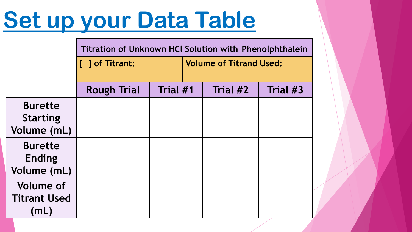## **Set up your Data Table**

|                                                  | <b>Titration of Unknown HCI Solution with Phenolphthalein</b> |          |                                |          |          |  |
|--------------------------------------------------|---------------------------------------------------------------|----------|--------------------------------|----------|----------|--|
|                                                  | [ ] of Titrant:                                               |          | <b>Volume of Titrand Used:</b> |          |          |  |
|                                                  |                                                               |          |                                |          |          |  |
|                                                  | <b>Rough Trial</b>                                            | Trial #1 |                                | Trial #2 | Trial #3 |  |
| <b>Burette</b><br><b>Starting</b><br>Volume (mL) |                                                               |          |                                |          |          |  |
| <b>Burette</b><br><b>Ending</b><br>Volume (mL)   |                                                               |          |                                |          |          |  |
| <b>Volume of</b><br><b>Titrant Used</b><br>(mL)  |                                                               |          |                                |          |          |  |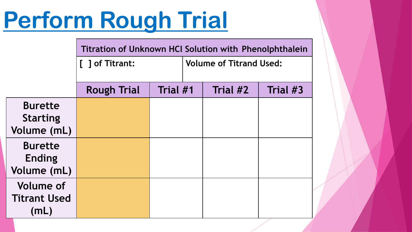## **Perform Rough Trial**

|                                                  | <b>Titration of Unknown HCI Solution with Phenolphthalein</b> |          |                                |          |          |  |
|--------------------------------------------------|---------------------------------------------------------------|----------|--------------------------------|----------|----------|--|
|                                                  | [ ] of Titrant:                                               |          | <b>Volume of Titrand Used:</b> |          |          |  |
|                                                  | <b>Rough Trial</b>                                            | Trial #1 |                                | Trial #2 | Trial #3 |  |
| <b>Burette</b><br><b>Starting</b><br>Volume (mL) |                                                               |          |                                |          |          |  |
| <b>Burette</b><br><b>Ending</b><br>Volume (mL)   |                                                               |          |                                |          |          |  |
| <b>Volume of</b><br><b>Titrant Used</b><br>(mL)  |                                                               |          |                                |          |          |  |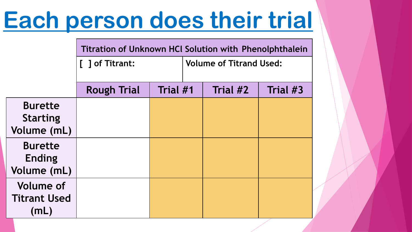## **Each person does their trial**

|                     | <b>Titration of Unknown HCI Solution with Phenolphthalein</b> |          |                                |          |          |
|---------------------|---------------------------------------------------------------|----------|--------------------------------|----------|----------|
|                     | [ ] of Titrant:                                               |          | <b>Volume of Titrand Used:</b> |          |          |
|                     |                                                               |          |                                |          |          |
|                     | <b>Rough Trial</b>                                            | Trial #1 |                                | Trial #2 | Trial #3 |
| <b>Burette</b>      |                                                               |          |                                |          |          |
| <b>Starting</b>     |                                                               |          |                                |          |          |
| Volume (mL)         |                                                               |          |                                |          |          |
| <b>Burette</b>      |                                                               |          |                                |          |          |
| <b>Ending</b>       |                                                               |          |                                |          |          |
| Volume (mL)         |                                                               |          |                                |          |          |
| <b>Volume of</b>    |                                                               |          |                                |          |          |
| <b>Titrant Used</b> |                                                               |          |                                |          |          |
| (mL)                |                                                               |          |                                |          |          |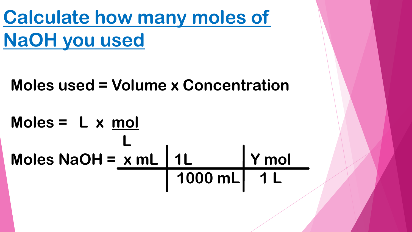**Calculate how many moles of NaOH you used** 

**Moles used = Volume x Concentration**

#### **Moles = L x mol L Moles NaOH = x mL 1L Y mol** 1000 mL 1 L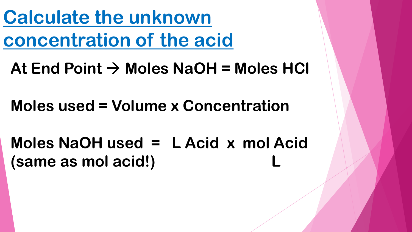**Calculate the unknown concentration of the acid**

 $At$  End Point  $\rightarrow$  Moles NaOH = Moles HCl

**Moles used = Volume x Concentration**

**Moles NaOH used = L Acid x mol Acid (same as mol acid!) L**